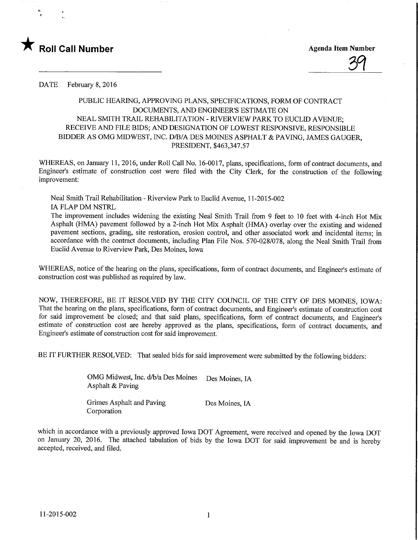

<u>39</u>

DATE February 8, 2016

## PUBLIC HEARING, APPROVING PLANS, SPECIFICATIONS, FORM OF CONTRACT DOCUMENTS, AND ENGINEER'S ESTIMATE ON NEAL SMITH TRAIL REHABILITATION - RIVERVIEW PARK TO EUCLID AVENUE; RECEIVE AND FILE BIDS; AND DESIGNATION OF LOWEST RESPONSIVE, RESPONSIBLE BIDDER AS OMG MIDWEST, INC. D/B/A DES MOINES ASPHALT & PAVING, JAMES GAUGER, PRESIDENT, \$463,347.57

WHEREAS, on January 11, 2016, under Roll Call No. 16-0017, plans, specifications, form of contract documents, and Engineer's estimate of construction cost were filed with the City Clerk, for the construction of the following improvement:

Neal Smith Trail Rehabilitation - Riverview Park to Euclid Avenue, 11-2015-002 IA FLAP DM NSTRL

The improvement includes widening the existing Neal Smith Trail from 9 feet to 10 feet with 4-inch Hot Mix Asphalt (HMA) pavement followed by a 2-inch Hot Mix Asphalt (HMA) overlay over the existing and widened pavement sections, grading, site restoration, erosion control, and other associated work and incidental items; in accordance with the contract documents, including Plan File Nos. 570-028/078, along the Neal Smith Trail from Euclid Avenue to Riverview Park, Des Moines, Iowa

WHEREAS, notice of the hearing on the plans, specifications, form of contract documents, and Engineer's estimate of construction cost was published as required by law.

NOW, THEREFORE, BE IT RESOLVED BY THE CITY COUNCIL OF THE CITY OF DES MOINES, IOWA: That the hearing on the plans, specifications, form of contract documents, and Engineer's estimate of construction cost for said improvement be closed; and that said plans, specifications, form of contract documents, and Engineer's estimate of construction cost are hereby approved as the plans, specifications, form of contract documents, and Engineer's estimate of construction cost for said improvement.

BE IT FURTHER RESOLVED: That sealed bids for said improvement were submitted by the following bidders:

OMG Midwest, Inc. d/b/a Des Moines Des Moines. IA Asphalt & Paving

Grimes Asphalt and Paving Des Moines, IA Corporation

which in accordance with a previously approved Iowa DOT Agreement, were received and opened by the Iowa DOT on January 20, 2016. The attached tabulation of bids by the Iowa DOT for said improvement be and is hereby accepted, received, and filed.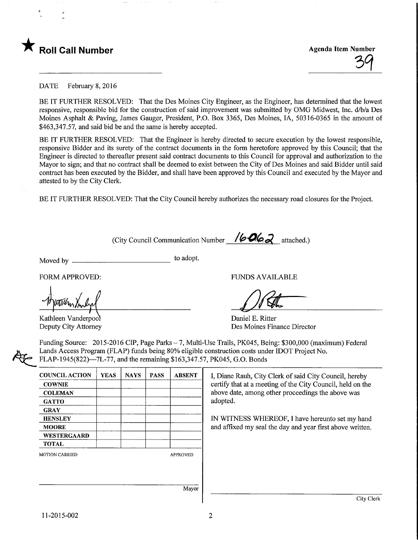

**Agenda Item Number** 

DATE February 8, 2016

BE IT FURTHER RESOLVED: That the Des Moines City Engineer, as the Engineer, has determined that the lowest responsive, responsible bid for the construction of said improvement was submitted by OMG Midwest, Inc. d/b/a Des Moines Asphalt & Paving, James Gauger, President, P.O. Box 3365, Des Moines, IA, 50316-0365 in the amount of \$463,347.57, and said bid be and the same is hereby accepted.

BE IT FURTHER RESOLVED: That the Engineer is hereby directed to secure execution by the lowest responsible, responsive Bidder and its surety of the contract documents in the form heretofore approved by this Council; that the Engineer is directed to thereafter present said contract documents to this Council for approval and authorization to the Mayor to sign; and that no contract shall be deemed to exist between the City of Des Moines and said Bidder until said contract has been executed by the Bidder, and shall have been approved by this Council and executed by the Mayor and attested to by the City Clerk.

BE IT FURTHER RESOLVED: That the City Council hereby authorizes the necessary road closures for the Project.

(City Council Communication Number / $\sqrt{600}$  attached.)

Moved by  $\equiv$ to adopt.

Kathleen Vanderpool Deputy City Attorney

FORM APPROVED: THE RESERVED OF THE RESERVED FUNDS AVAILABLE

Daniel E. Ritter Des Moines Finance Director

Funding Source: 2015-2016 CIP, Page Parks - 7, Multi-Use Trails, PK045, Being: \$300,000 (maximum) Federal Lands Access Program (FLAP) funds being 80% eligible construction costs under IDOT Project No. FLAP-1945(822)—7L-77, and the remaining \$163,347.57, PK045, G.O. Bonds

| <b>COUNCIL ACTION</b> | <b>YEAS</b> | <b>NAYS</b> | <b>PASS</b> | <b>ABSENT</b>   |
|-----------------------|-------------|-------------|-------------|-----------------|
| <b>COWNIE</b>         |             |             |             |                 |
| <b>COLEMAN</b>        |             |             |             |                 |
| <b>GATTO</b>          |             |             |             |                 |
| <b>GRAY</b>           |             |             |             |                 |
| <b>HENSLEY</b>        |             |             |             |                 |
| <b>MOORE</b>          |             |             |             |                 |
| <b>WESTERGAARD</b>    |             |             |             |                 |
| <b>TOTAL</b>          |             |             |             |                 |
| <b>MOTION CARRIED</b> |             |             |             | <b>APPROVED</b> |
|                       |             |             |             |                 |
|                       |             |             |             |                 |
|                       |             |             |             |                 |
|                       |             |             |             | Mavor           |

I, Diane Rauh, City Clerk of said City Council, hereby certify that at a meeting of the City Council, held on the above date, among other proceedings the above was adopted.

IN WITNESS WHEREOF, I have hereunto set my hand and affixed my seal the day and year first above written.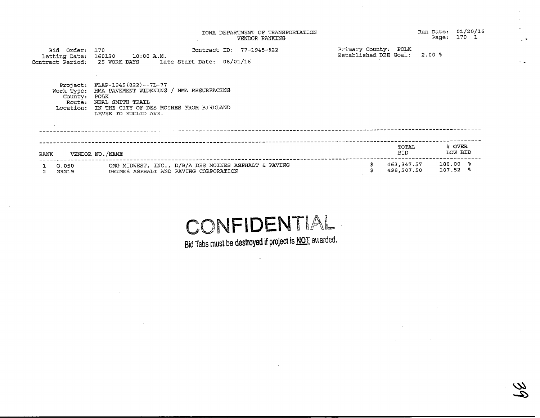|                                              | IOWA DEPARTMENT OF TRANSPORTATION<br>VENDOR RANKING                                                                                                                         |                                               | 01/20/16<br>Run Date:<br>170 l<br>Page:       |
|----------------------------------------------|-----------------------------------------------------------------------------------------------------------------------------------------------------------------------------|-----------------------------------------------|-----------------------------------------------|
| Bid Order: 170<br>Letting Date:              | Contract ID: 77-1945-822<br>160120 10:00 A.M.<br>Contract Period:   25 WORK DAYS      Late Start Date:   08/01/16                                                           | Primary County: POLK<br>Established DBE Goal: | $2.00$ 8                                      |
| Work Type:<br>County:<br>Route:<br>Location: | Project: FLAP-1945 (822) -- 7L-77<br>HMA PAVEMENT WIDENING / HMA RESURFACING<br>POLK<br>NEAL SMITH TRAIL<br>IN THE CITY OF DES MOINES FROM BIRDLAND<br>LEVEE TO EUCLID AVE. |                                               |                                               |
| <b>RANK</b>                                  | VENDOR NO./NAME                                                                                                                                                             | TOTAL<br>BID                                  | % OVER<br>LOW BID                             |
| 0.050<br>GR219                               | OMG MIDWEST, INC., D/B/A DES MOINES ASPHALT & PAVING<br>GRIMES ASPHALT AND PAVING CORPORATION                                                                               | 498,207.50                                    | 463,347.57 100.00 %<br>$107.52$ $\frac{6}{5}$ |

# H S

Bid Tabs must be destroyed if project is **NOT** awarded

 $\label{eq:2.1} \frac{1}{\sqrt{2\pi}}\frac{1}{\sqrt{2\pi}}\frac{1}{\sqrt{2\pi}}\frac{1}{\sqrt{2\pi}}\frac{1}{\sqrt{2\pi}}\frac{1}{\sqrt{2\pi}}\frac{1}{\sqrt{2\pi}}\frac{1}{\sqrt{2\pi}}\frac{1}{\sqrt{2\pi}}\frac{1}{\sqrt{2\pi}}\frac{1}{\sqrt{2\pi}}\frac{1}{\sqrt{2\pi}}\frac{1}{\sqrt{2\pi}}\frac{1}{\sqrt{2\pi}}\frac{1}{\sqrt{2\pi}}\frac{1}{\sqrt{2\pi}}\frac{1}{\sqrt{2\pi}}\frac{1}{\sqrt$ 

 $\sim 100$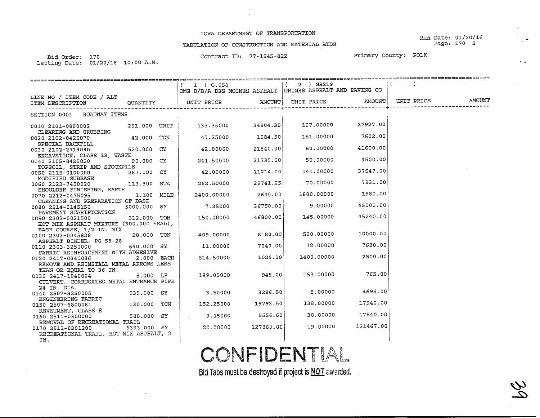#### IOWA DEPARTMENT OF TRANSPORTATION

Run Date: 01/20/16 Page: 170 2

 $\mathcal{Z}$  $\rightarrow$ 

۰.

### TABULATION OF CONSTRUCTION AND MATERIAL BIDS

Bid Order: Letting Date:.70<br>1/20/16 10:00 A.M. Contract ID: 77-1945-822

Primary County: POLK

|                                               |               | =============================                             |           |                    |                           |            |        |
|-----------------------------------------------|---------------|-----------------------------------------------------------|-----------|--------------------|---------------------------|------------|--------|
|                                               |               | $1$ ) 0.050                                               |           | $(2)$ GR219        |                           |            |        |
|                                               |               | OMG D/B/A DES MOINES ASPHALT GRIMES ASPHALT AND PAVING CO |           |                    |                           |            |        |
| LINE NO / ITEM CODE / ALT                     |               |                                                           |           |                    |                           |            |        |
| ITEM DESCRIPTION QUANTITY                     |               | UNIT PRICE                                                |           | AMOUNT  UNIT PRICE | AMOUNT                    | UNIT PRICE | AMOUNT |
|                                               |               |                                                           |           |                    |                           |            |        |
| SECTION 0001 ROADWAY ITEMS                    |               |                                                           |           |                    |                           |            |        |
|                                               |               | 133.35000                                                 | 34804.35  |                    | 107.00000 27927.00        |            |        |
| 0010 2101-0850002 261.000 UNIT                |               |                                                           |           |                    |                           |            |        |
| CLEARING AND GRUBBING                         | $42.000$ TON  | $47,25000$ 1984.50                                        |           |                    | 181.00000 7602.00         |            |        |
| 0020 2102-0425070                             |               |                                                           |           |                    |                           |            |        |
| SPECIAL BACKFILL<br>0030 2102-2713090         | 520.000 CY    | 42.00000                                                  | 21840.00  | 80,00000 000       | 41600.00                  |            |        |
| EXCAVATION, CLASS 13, WASTE                   |               |                                                           |           |                    |                           |            |        |
| 0040 2105-8425020                             | 90.000 CY     | 241.50000                                                 | 21735.00  |                    | 50.00000 4500.00          |            |        |
| TOPSOIL, STRIP AND STOCKPILE                  |               |                                                           |           |                    |                           |            |        |
| 0050 2115-0100000                             | $-267.000$ CY | 42.00000                                                  | 11214.00  | 141.00000          | 37647.00                  |            |        |
| MODIFIED SUBBASE                              |               |                                                           |           |                    |                           |            |        |
| 0060 2123-7450020                             | 113.300 STA   | 262.50000                                                 | 29741.25  | 70.00000           | 7931.00                   |            |        |
| SHOULDER FINISHING, EARTH                     |               |                                                           |           |                    |                           |            |        |
| 0070 2212-0475095                             | 1.100 MILE    | 2400.00000                                                | 2640.00   |                    | 1800.00000 1980.00        |            |        |
| CLEANING AND PREPARATION OF BASE              |               |                                                           |           |                    |                           |            |        |
| 0080 2214-5145150                             | 5000.000 SY   | 7.35000                                                   | 36750.00  |                    | 45000.00<br>9.00000 000   |            |        |
| PAVEMENT SCARIFICATION                        |               |                                                           |           |                    |                           |            |        |
| 0090 2303-0021500 312.000 TON                 |               | 150.00000                                                 | 46800.00  | 145.00000          | 45240.00                  |            |        |
| HOT MIX ASPHALT MIXTURE (300,000 ESAL),       |               |                                                           |           |                    |                           |            |        |
| BASE COURSE, 1/2 IN. MIX                      |               |                                                           | 8180.00   | 500.00000          | 10000.00                  |            |        |
| 0100 2303-0245828                             | 20.000 TON    | 409.00000                                                 |           |                    |                           |            |        |
| ASPHALT BINDER, PG 58-28<br>0110 2303-3250000 | 640.000 SY    | 11.00000                                                  | 7040.00   | 12.00000           | 7680.00                   |            |        |
| FABRIC REINFORCEMENT WITH ADHESIVE            |               |                                                           |           |                    |                           |            |        |
| 0120 2417-0341036                             | 2.000 EACH    | 514.50000                                                 | 1029.00   |                    | 2800.00<br>1400.00000     |            |        |
| REMOVE AND REINSTALL METAL APRONS LESS        |               |                                                           |           |                    |                           |            |        |
| THAN OR EOUAL TO 36 IN.                       |               |                                                           |           |                    |                           |            |        |
| 0130 2417-1040024 5.000 LF                    |               | 189.00000                                                 | 945.00    | 153.00000          | 765.00                    |            |        |
| CULVERT, CORRUGATED METAL ENTRANCE PIPE       |               |                                                           |           |                    |                           |            |        |
| 24 IN. DIA.                                   |               |                                                           |           |                    |                           |            |        |
| 0140 2507-3250005                             | 939.000 SY    | $3.50000$ $3286.50$                                       |           |                    | 4695.00<br>5.00000 5.0000 |            |        |
| ENGINEERING FABRIC                            |               |                                                           |           |                    |                           |            |        |
| 0150 2507-6800061                             | 130.000 TON   | 152.25000                                                 | 19792.50  | 138.00000          | 17940.00                  |            |        |
| REVETMENT, CLASS E                            |               |                                                           |           |                    |                           |            |        |
| 0160 2511-0300000                             | 588.000 SY    | $\frac{1}{2}$ . 9.45000                                   | 5556.60   | 30.00000           | 17640.00                  |            |        |
| REMOVAL OF RECREATIONAL TRAIL                 |               |                                                           |           |                    | 121467.00                 |            |        |
| 0170 2511-0301200                             | 6393.000 SY   | 20.00000                                                  | 127860.00 | 19.00000           |                           |            |        |
| RECREATIONAL TRAIL, HOT MIX ASPHALT, 2        |               |                                                           |           |                    |                           |            |        |
| IN.                                           |               |                                                           |           |                    |                           |            |        |

CONFIDENTIAL

Bid Tabs must be destroyed if project is **NOT** awarded.